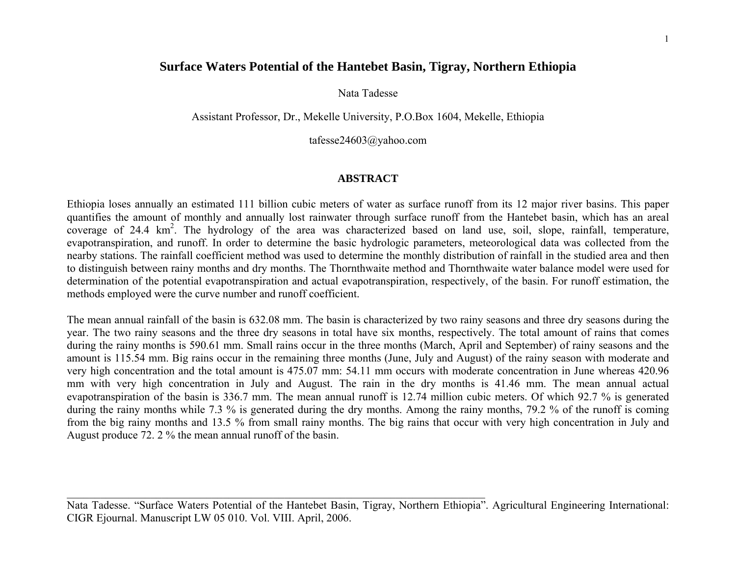# **Surface Waters Potential of the Hantebet Basin, Tigray, Northern Ethiopia**

Nata Tadesse

Assistant Professor, Dr., Mekelle University, P.O.Box 1604, Mekelle, Ethiopia

tafesse24603@yahoo.com

#### **ABSTRACT**

Ethiopia loses annually an estimated 111 billion cubic meters of water as surface runoff from its 12 major river basins. This paper quantifies the amount of monthly and annually lost rainwater through surface runoff from the Hantebet basin, which has an areal coverage of 24.4  $\text{km}^2$ . The hydrology of the area was characterized based on land use, soil, slope, rainfall, temperature, evapotranspiration, and runoff. In order to determine the basic hydrologic parameters, meteorological data was collected from the nearby stations. The rainfall coefficient method was used to determine the monthly distribution of rainfall in the studied area and then to distinguish between rainy months and dry months. The Thornthwaite method and Thornthwaite water balance model were used for determination of the potential evapotranspiration and actual evapotranspiration, respectively, of the basin. For runoff estimation, the methods employed were the curve number and runoff coefficient.

The mean annual rainfall of the basin is 632.08 mm. The basin is characterized by two rainy seasons and three dry seasons during the year. The two rainy seasons and the three dry seasons in total have six months, respectively. The total amount of rains that comes during the rainy months is 590.61 mm. Small rains occur in the three months (March, April and September) of rainy seasons and the amount is 115.54 mm. Big rains occur in the remaining three months (June, July and August) of the rainy season with moderate and very high concentration and the total amount is 475.07 mm: 54.11 mm occurs with moderate concentration in June whereas 420.96 mm with very high concentration in July and August. The rain in the dry months is 41.46 mm. The mean annual actual evapotranspiration of the basin is 336.7 mm. The mean annual runoff is 12.74 million cubic meters. Of which 92.7 % is generated during the rainy months while 7.3 % is generated during the dry months. Among the rainy months, 79.2 % of the runoff is coming from the big rainy months and 13.5 % from small rainy months. The big rains that occur with very high concentration in July and August produce 72. 2 % the mean annual runoff of the basin.

Nata Tadesse. "Surface Waters Potential of the Hantebet Basin, Tigray, Northern Ethiopia". Agricultural Engineering International: CIGR Ejournal. Manuscript LW 05 010. Vol. VIII. April, 2006.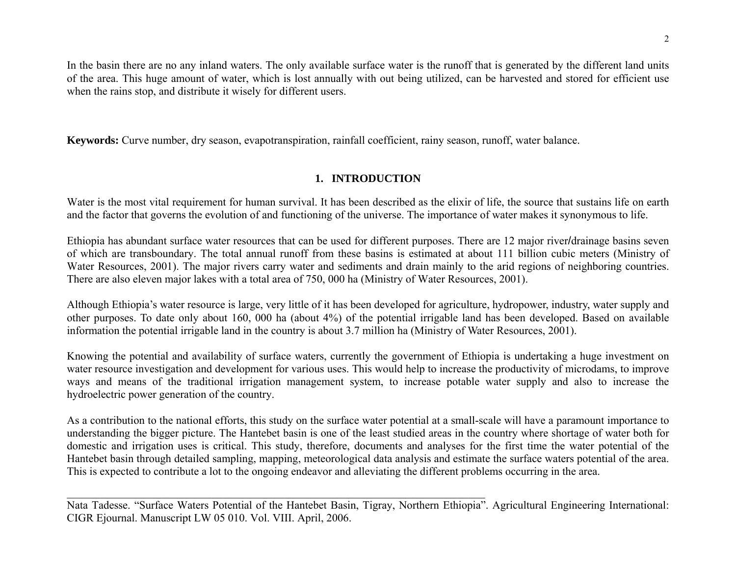In the basin there are no any inland waters. The only available surface water is the runoff that is generated by the different land units of the area. This huge amount of water, which is lost annually with out being utilized, can be harvested and stored for efficient use when the rains stop, and distribute it wisely for different users.

**Keywords:** Curve number, dry season, evapotranspiration, rainfall coefficient, rainy season, runoff, water balance.

# **1. INTRODUCTION**

Water is the most vital requirement for human survival. It has been described as the elixir of life, the source that sustains life on earth and the factor that governs the evolution of and functioning of the universe. The importance of water makes it synonymous to life.

Ethiopia has abundant surface water resources that can be used for different purposes. There are 12 major river/drainage basins seven of which are transboundary. The total annual runoff from these basins is estimated at about 111 billion cubic meters (Ministry of Water Resources, 2001). The major rivers carry water and sediments and drain mainly to the arid regions of neighboring countries. There are also eleven major lakes with a total area of 750, 000 ha (Ministry of Water Resources, 2001).

Although Ethiopia's water resource is large, very little of it has been developed for agriculture, hydropower, industry, water supply and other purposes. To date only about 160, 000 ha (about 4%) of the potential irrigable land has been developed. Based on available information the potential irrigable land in the country is about 3.7 million ha (Ministry of Water Resources, 2001).

Knowing the potential and availability of surface waters, currently the government of Ethiopia is undertaking a huge investment on water resource investigation and development for various uses. This would help to increase the productivity of microdams, to improve ways and means of the traditional irrigation management system, to increase potable water supply and also to increase the hydroelectric power generation of the country.

As a contribution to the national efforts, this study on the surface water potential at a small-scale will have a paramount importance to understanding the bigger picture. The Hantebet basin is one of the least studied areas in the country where shortage of water both for domestic and irrigation uses is critical. This study, therefore, documents and analyses for the first time the water potential of the Hantebet basin through detailed sampling, mapping, meteorological data analysis and estimate the surface waters potential of the area. This is expected to contribute a lot to the ongoing endeavor and alleviating the different problems occurring in the area.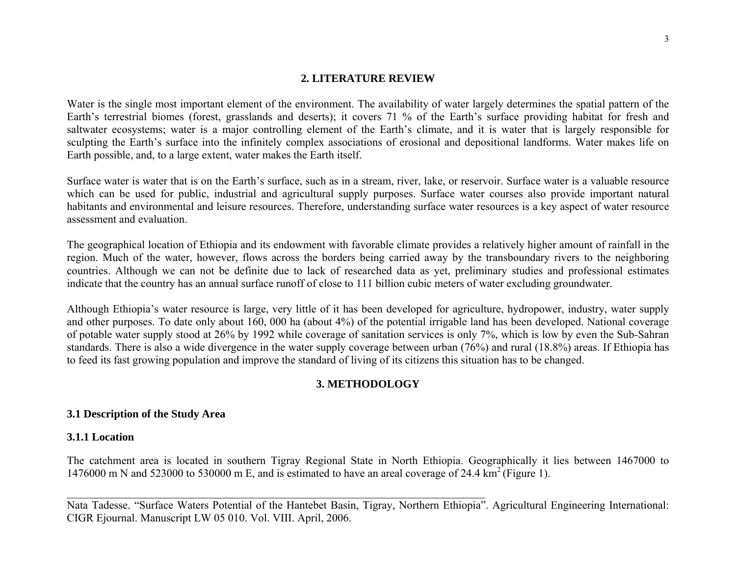### **2. LITERATURE REVIEW**

Water is the single most important element of the environment. The availability of water largely determines the spatial pattern of the Earth's terrestrial biomes (forest, grasslands and deserts); it covers 71 % of the Earth's surface providing habitat for fresh and saltwater ecosystems; water is a major controlling element of the Earth's climate, and it is water that is largely responsible for sculpting the Earth's surface into the infinitely complex associations of erosional and depositional landforms. Water makes life on Earth possible, and, to a large extent, water makes the Earth itself.

Surface water is water that is on the Earth's surface, such as in a stream, river, lake, or reservoir. Surface water is a valuable resource which can be used for public, industrial and agricultural supply purposes. Surface water courses also provide important natural habitants and environmental and leisure resources. Therefore, understanding surface water resources is a key aspect of water resource assessment and evaluation.

The geographical location of Ethiopia and its endowment with favorable climate provides a relatively higher amount of rainfall in the region. Much of the water, however, flows across the borders being carried away by the transboundary rivers to the neighboring countries. Although we can not be definite due to lack of researched data as yet, preliminary studies and professional estimates indicate that the country has an annual surface runoff of close to 111 billion cubic meters of water excluding groundwater.

Although Ethiopia's water resource is large, very little of it has been developed for agriculture, hydropower, industry, water supply and other purposes. To date only about 160, 000 ha (about 4%) of the potential irrigable land has been developed. National coverage of potable water supply stood at 26% by 1992 while coverage of sanitation services is only 7%, which is low by even the Sub-Sahran standards. There is also a wide divergence in the water supply coverage between urban (76%) and rural (18.8%) areas. If Ethiopia has to feed its fast growing population and improve the standard of living of its citizens this situation has to be changed.

# **3. METHODOLOGY**

### **3.1 Description of the Study Area**

### **3.1.1 Location**

The catchment area is located in southern Tigray Regional State in North Ethiopia. Geographically it lies between 1467000 to 1476000 m N and 523000 to 530000 m E, and is estimated to have an areal coverage of 24.4  $\text{km}^2$  (Figure 1).

Nata Tadesse. "Surface Waters Potential of the Hantebet Basin, Tigray, Northern Ethiopia". Agricultural Engineering International: CIGR Ejournal. Manuscript LW 05 010. Vol. VIII. April, 2006.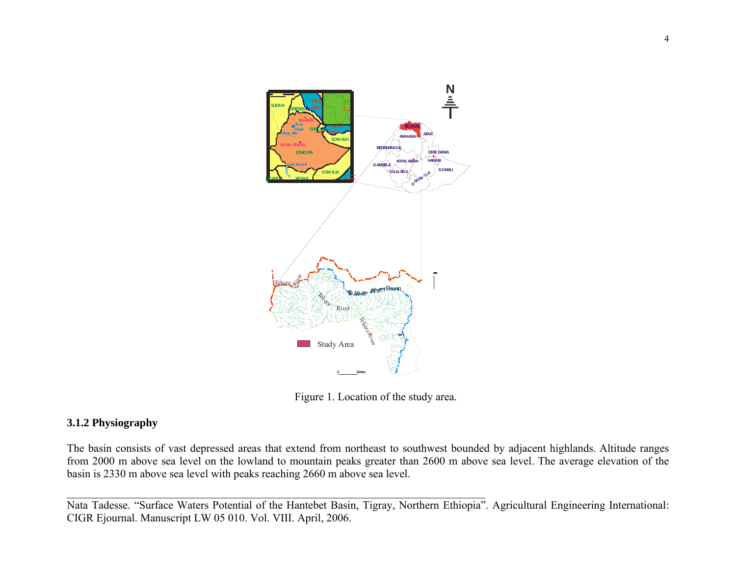

Figure 1. Location of the study area.

# **3.1.2 Physiography**

The basin consists of vast depressed areas that extend from northeast to southwest bounded by adjacent highlands. Altitude ranges from 2000 m above sea level on the lowland to mountain peaks greater than 2600 m above sea level. The average elevation of the basin is 2330 m above sea level with peaks reaching 2660 m above sea level.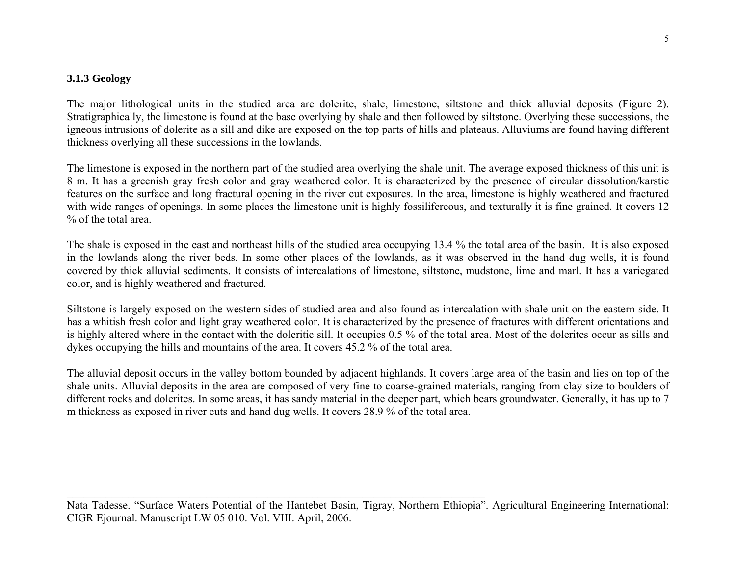### **3.1.3 Geology**

The major lithological units in the studied area are dolerite, shale, limestone, siltstone and thick alluvial deposits (Figure 2). Stratigraphically, the limestone is found at the base overlying by shale and then followed by siltstone. Overlying these successions, the igneous intrusions of dolerite as a sill and dike are exposed on the top parts of hills and plateaus. Alluviums are found having different thickness overlying all these successions in the lowlands.

The limestone is exposed in the northern part of the studied area overlying the shale unit. The average exposed thickness of this unit is 8 m. It has a greenish gray fresh color and gray weathered color. It is characterized by the presence of circular dissolution/karstic features on the surface and long fractural opening in the river cut exposures. In the area, limestone is highly weathered and fractured with wide ranges of openings. In some places the limestone unit is highly fossilifereous, and texturally it is fine grained. It covers 12 % of the total area.

The shale is exposed in the east and northeast hills of the studied area occupying 13.4 % the total area of the basin. It is also exposed in the lowlands along the river beds. In some other places of the lowlands, as it was observed in the hand dug wells, it is found covered by thick alluvial sediments. It consists of intercalations of limestone, siltstone, mudstone, lime and marl. It has a variegated color, and is highly weathered and fractured.

Siltstone is largely exposed on the western sides of studied area and also found as intercalation with shale unit on the eastern side. It has a whitish fresh color and light gray weathered color. It is characterized by the presence of fractures with different orientations and is highly altered where in the contact with the doleritic sill. It occupies 0.5 % of the total area. Most of the dolerites occur as sills and dykes occupying the hills and mountains of the area. It covers 45.2 % of the total area.

The alluvial deposit occurs in the valley bottom bounded by adjacent highlands. It covers large area of the basin and lies on top of the shale units. Alluvial deposits in the area are composed of very fine to coarse-grained materials, ranging from clay size to boulders of different rocks and dolerites. In some areas, it has sandy material in the deeper part, which bears groundwater. Generally, it has up to 7 m thickness as exposed in river cuts and hand dug wells. It covers 28.9 % of the total area.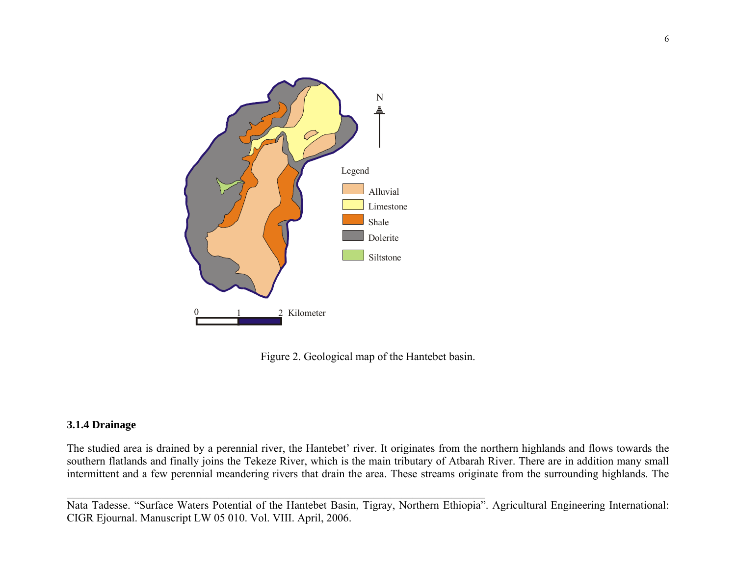

Figure 2. Geological map of the Hantebet basin.

# **3.1.4 Drainage**

The studied area is drained by a perennial river, the Hantebet' river. It originates from the northern highlands and flows towards the southern flatlands and finally joins the Tekeze River, which is the main tributary of Atbarah River. There are in addition many small intermittent and a few perennial meandering rivers that drain the area. These streams originate from the surrounding highlands. The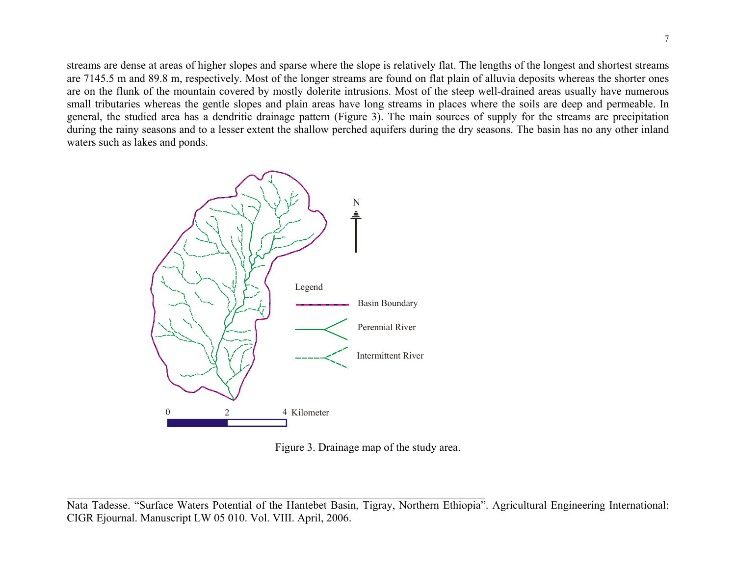streams are dense at areas of higher slopes and sparse where the slope is relatively flat. The lengths of the longest and shortest streams are 7145.5 m and 89.8 m, respectively. Most of the longer streams are found on flat plain of alluvia deposits whereas the shorter ones are on the flunk of the mountain covered by mostly dolerite intrusions. Most of the steep well-drained areas usually have numerous small tributaries whereas the gentle slopes and plain areas have long streams in places where the soils are deep and permeable. In general, the studied area has a dendritic drainage pattern (Figure 3). The main sources of supply for the streams are precipitation during the rainy seasons and to a lesser extent the shallow perched aquifers during the dry seasons. The basin has no any other inland waters such as lakes and ponds.



Figure 3. Drainage map of the study area.

Nata Tadesse. "Surface Waters Potential of the Hantebet Basin, Tigray, Northern Ethiopia". Agricultural Engineering International: CIGR Ejournal. Manuscript LW 05 010. Vol. VIII. April, 2006.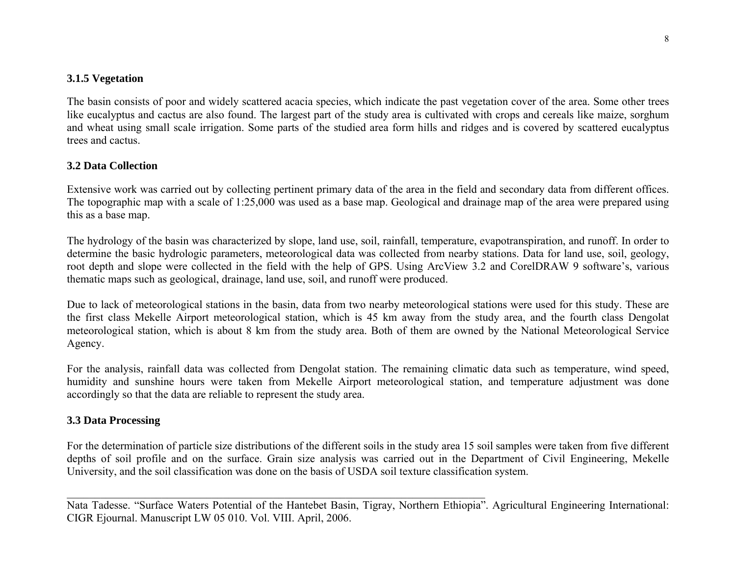### **3.1.5 Vegetation**

The basin consists of poor and widely scattered acacia species, which indicate the past vegetation cover of the area. Some other trees like eucalyptus and cactus are also found. The largest part of the study area is cultivated with crops and cereals like maize, sorghum and wheat using small scale irrigation. Some parts of the studied area form hills and ridges and is covered by scattered eucalyptus trees and cactus.

### **3.2 Data Collection**

Extensive work was carried out by collecting pertinent primary data of the area in the field and secondary data from different offices. The topographic map with a scale of 1:25,000 was used as a base map. Geological and drainage map of the area were prepared using this as a base map.

The hydrology of the basin was characterized by slope, land use, soil, rainfall, temperature, evapotranspiration, and runoff. In order to determine the basic hydrologic parameters, meteorological data was collected from nearby stations. Data for land use, soil, geology, root depth and slope were collected in the field with the help of GPS. Using ArcView 3.2 and CorelDRAW 9 software's, various thematic maps such as geological, drainage, land use, soil, and runoff were produced.

Due to lack of meteorological stations in the basin, data from two nearby meteorological stations were used for this study. These are the first class Mekelle Airport meteorological station, which is 45 km away from the study area, and the fourth class Dengolat meteorological station, which is about 8 km from the study area. Both of them are owned by the National Meteorological Service Agency.

For the analysis, rainfall data was collected from Dengolat station. The remaining climatic data such as temperature, wind speed, humidity and sunshine hours were taken from Mekelle Airport meteorological station, and temperature adjustment was done accordingly so that the data are reliable to represent the study area.

### **3.3 Data Processing**

For the determination of particle size distributions of the different soils in the study area 15 soil samples were taken from five different depths of soil profile and on the surface. Grain size analysis was carried out in the Department of Civil Engineering, Mekelle University, and the soil classification was done on the basis of USDA soil texture classification system.

Nata Tadesse. "Surface Waters Potential of the Hantebet Basin, Tigray, Northern Ethiopia". Agricultural Engineering International: CIGR Ejournal. Manuscript LW 05 010. Vol. VIII. April, 2006.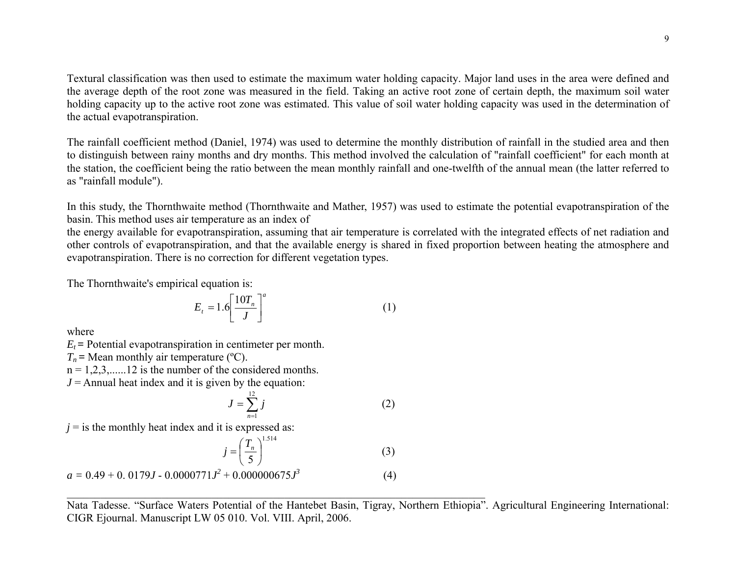Textural classification was then used to estimate the maximum water holding capacity. Major land uses in the area were defined and the average depth of the root zone was measured in the field. Taking an active root zone of certain depth, the maximum soil water holding capacity up to the active root zone was estimated. This value of soil water holding capacity was used in the determination of the actual evapotranspiration.

The rainfall coefficient method (Daniel, 1974) was used to determine the monthly distribution of rainfall in the studied area and then to distinguish between rainy months and dry months. This method involved the calculation of "rainfall coefficient" for each month at the station, the coefficient being the ratio between the mean monthly rainfall and one-twelfth of the annual mean (the latter referred to as "rainfall module").

In this study, the Thornthwaite method (Thornthwaite and Mather, 1957) was used to estimate the potential evapotranspiration of the basin. This method uses air temperature as an index of

the energy available for evapotranspiration, assuming that air temperature is correlated with the integrated effects of net radiation and other controls of evapotranspiration, and that the available energy is shared in fixed proportion between heating the atmosphere and evapotranspiration. There is no correction for different vegetation types.

The Thornthwaite's empirical equation is:

$$
E_t = 1.6 \left[ \frac{10T_n}{J} \right]^a \tag{1}
$$

where

 $E_t$  = Potential evapotranspiration in centimeter per month.

 $T_n$  = Mean monthly air temperature ( $^{\circ}$ C).

 $n = 1, 2, 3, \ldots, 12$  is the number of the considered months.

 $J =$  Annual heat index and it is given by the equation:

$$
J = \sum_{n=1}^{12} j
$$
 (2)

 $j =$  is the monthly heat index and it is expressed as:

$$
j = \left(\frac{T_n}{5}\right)^{1.514}
$$
 (3)

\_\_\_\_\_\_\_\_\_\_\_\_\_\_\_\_\_\_\_\_\_\_\_\_\_\_\_\_\_\_\_\_\_\_\_\_\_\_\_\_\_\_\_\_\_\_\_\_\_\_\_\_\_\_\_\_\_\_\_\_\_\_\_\_\_\_\_\_\_\_\_\_\_\_\_

$$
a = 0.49 + 0.0179J - 0.0000771J^2 + 0.000000675J^3
$$
 (4)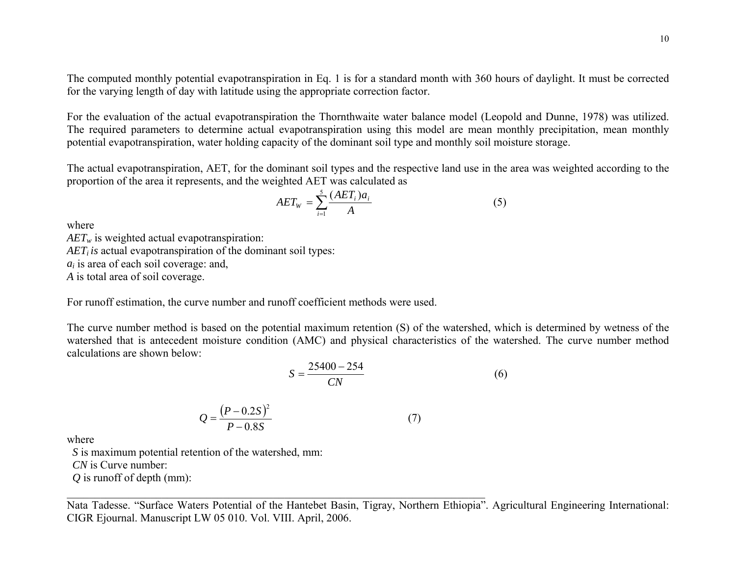The computed monthly potential evapotranspiration in Eq. 1 is for a standard month with 360 hours of daylight. It must be corrected for the varying length of day with latitude using the appropriate correction factor.

For the evaluation of the actual evapotranspiration the Thornthwaite water balance model (Leopold and Dunne, 1978) was utilized. The required parameters to determine actual evapotranspiration using this model are mean monthly precipitation, mean monthly potential evapotranspiration, water holding capacity of the dominant soil type and monthly soil moisture storage.

The actual evapotranspiration, AET, for the dominant soil types and the respective land use in the area was weighted according to the proportion of the area it represents, and the weighted AET was calculated as

$$
AET_{w} = \sum_{i=1}^{5} \frac{(AET_{i})a_{i}}{A}
$$
 (5)

where

*AET<sub>w</sub>* is weighted actual evapotranspiration: *AETi is* actual evapotranspiration of the dominant soil types: *ai* is area of each soil coverage: and, *A* is total area of soil coverage.

For runoff estimation, the curve number and runoff coefficient methods were used.

The curve number method is based on the potential maximum retention (S) of the watershed, which is determined by wetness of the watershed that is antecedent moisture condition (AMC) and physical characteristics of the watershed. The curve number method calculations are shown below:

$$
S = \frac{25400 - 254}{CN}
$$
 (6)

$$
Q = \frac{(P - 0.2S)^2}{P - 0.8S} \tag{7}
$$

where

 *S* is maximum potential retention of the watershed, mm:

 *CN* is Curve number:

*Q* is runoff of depth (mm):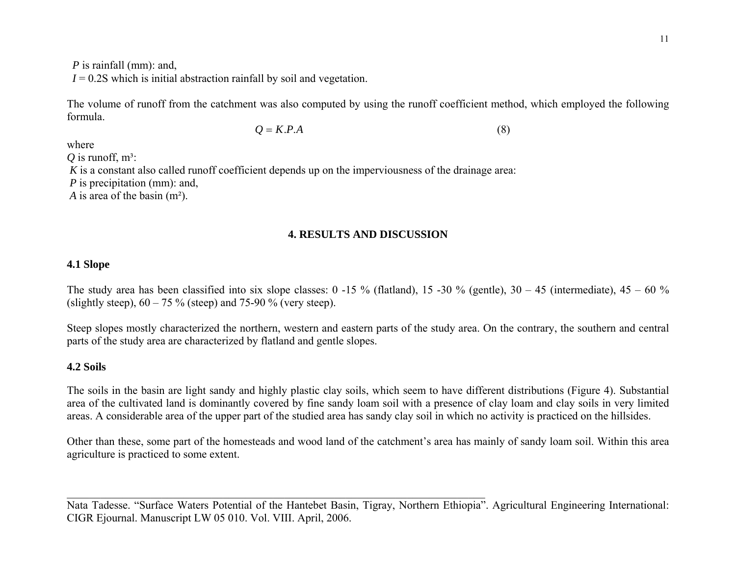*P* is rainfall (mm): and,  $I = 0.2$ S which is initial abstraction rainfall by soil and vegetation.

The volume of runoff from the catchment was also computed by using the runoff coefficient method, which employed the following formula.

$$
Q = K.P.A \tag{8}
$$

where

 $Q$  is runoff, m<sup>3</sup>:

*K* is a constant also called runoff coefficient depends up on the imperviousness of the drainage area:

*P* is precipitation (mm): and,

*A* is area of the basin (m<sup>2</sup>).

# **4. RESULTS AND DISCUSSION**

### **4.1 Slope**

The study area has been classified into six slope classes:  $0 -15\%$  (flatland),  $15 -30\%$  (gentle),  $30 - 45$  (intermediate),  $45 - 60\%$ (slightly steep),  $60 - 75\%$  (steep) and 75-90 % (very steep).

Steep slopes mostly characterized the northern, western and eastern parts of the study area. On the contrary, the southern and central parts of the study area are characterized by flatland and gentle slopes.

# **4.2 Soils**

The soils in the basin are light sandy and highly plastic clay soils, which seem to have different distributions (Figure 4). Substantial area of the cultivated land is dominantly covered by fine sandy loam soil with a presence of clay loam and clay soils in very limited areas. A considerable area of the upper part of the studied area has sandy clay soil in which no activity is practiced on the hillsides.

Other than these, some part of the homesteads and wood land of the catchment's area has mainly of sandy loam soil. Within this area agriculture is practiced to some extent.

\_\_\_\_\_\_\_\_\_\_\_\_\_\_\_\_\_\_\_\_\_\_\_\_\_\_\_\_\_\_\_\_\_\_\_\_\_\_\_\_\_\_\_\_\_\_\_\_\_\_\_\_\_\_\_\_\_\_\_\_\_\_\_\_\_\_\_\_\_\_\_\_\_\_\_ Nata Tadesse. "Surface Waters Potential of the Hantebet Basin, Tigray, Northern Ethiopia". Agricultural Engineering International: CIGR Ejournal. Manuscript LW 05 010. Vol. VIII. April, 2006.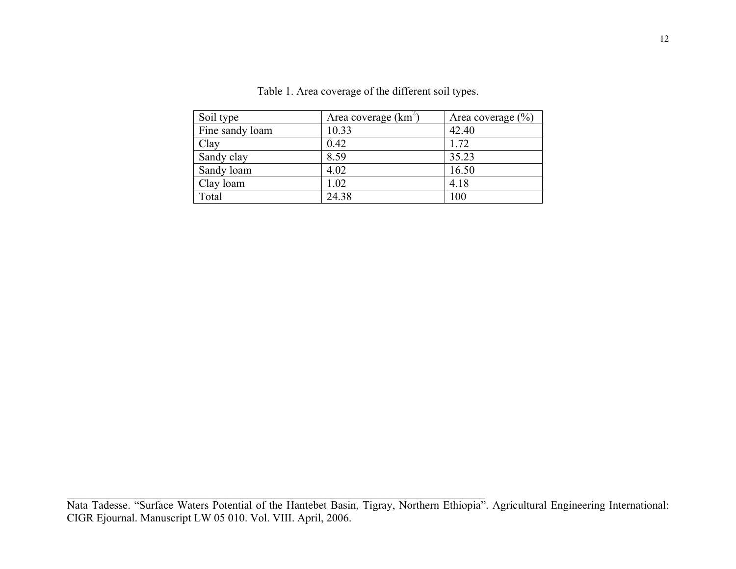| Soil type       | Area coverage $(km^2)$ | Area coverage $(\% )$ |
|-----------------|------------------------|-----------------------|
| Fine sandy loam | 10.33                  | 42.40                 |
| Clay            | 0.42                   | 1.72                  |
| Sandy clay      | 8.59                   | 35.23                 |
| Sandy loam      | 4.02                   | 16.50                 |
| Clay loam       | 1.02                   | 4.18                  |
| Total           | 24.38                  | 100                   |

Table 1. Area coverage of the different soil types.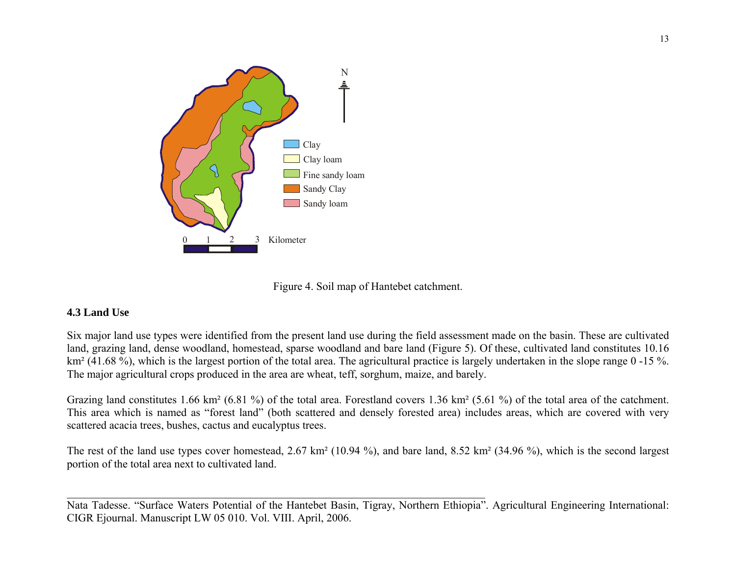

\_\_\_\_\_\_\_\_\_\_\_\_\_\_\_\_\_\_\_\_\_\_\_\_\_\_\_\_\_\_\_\_\_\_\_\_\_\_\_\_\_\_\_\_\_\_\_\_\_\_\_\_\_\_\_\_\_\_\_\_\_\_\_\_\_\_\_\_\_\_\_\_\_\_\_

Figure 4. Soil map of Hantebet catchment.

# **4.3 Land Use**

Six major land use types were identified from the present land use during the field assessment made on the basin. These are cultivated land, grazing land, dense woodland, homestead, sparse woodland and bare land (Figure 5). Of these, cultivated land constitutes 10.16 km<sup>2</sup> (41.68 %), which is the largest portion of the total area. The agricultural practice is largely undertaken in the slope range 0 -15 %. The major agricultural crops produced in the area are wheat, teff, sorghum, maize, and barely.

Grazing land constitutes 1.66 km² (6.81 %) of the total area. Forestland covers 1.36 km² (5.61 %) of the total area of the catchment. This area which is named as "forest land" (both scattered and densely forested area) includes areas, which are covered with very scattered acacia trees, bushes, cactus and eucalyptus trees.

The rest of the land use types cover homestead, 2.67 km² (10.94 %), and bare land, 8.52 km² (34.96 %), which is the second largest portion of the total area next to cultivated land.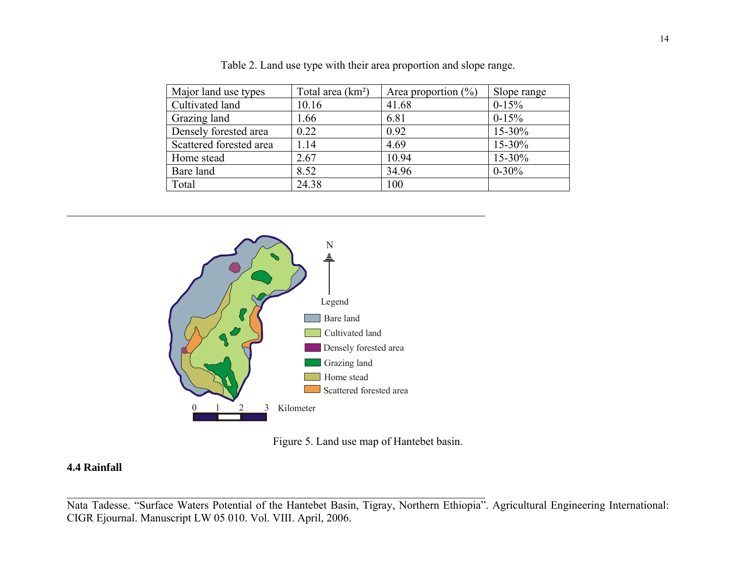| Major land use types    | Total area (km <sup>2</sup> ) | Area proportion $(\% )$ | Slope range |
|-------------------------|-------------------------------|-------------------------|-------------|
| Cultivated land         | 10.16                         | 41.68                   | $0-15%$     |
| Grazing land            | 1.66                          | 6.81                    | $0 - 15\%$  |
| Densely forested area   | 0.22                          | 0.92                    | 15-30%      |
| Scattered forested area | 1.14                          | 4.69                    | 15-30%      |
| Home stead              | 2.67                          | 10.94                   | 15-30%      |
| Bare land               | 8.52                          | 34.96                   | $0 - 30\%$  |
| Total                   | 24.38                         | 100                     |             |

Table 2. Land use type with their area proportion and slope range.



\_\_\_\_\_\_\_\_\_\_\_\_\_\_\_\_\_\_\_\_\_\_\_\_\_\_\_\_\_\_\_\_\_\_\_\_\_\_\_\_\_\_\_\_\_\_\_\_\_\_\_\_\_\_\_\_\_\_\_\_\_\_\_\_\_\_\_\_\_\_\_\_\_\_\_

Figure 5. Land use map of Hantebet basin.

### **4.4 Rainfall**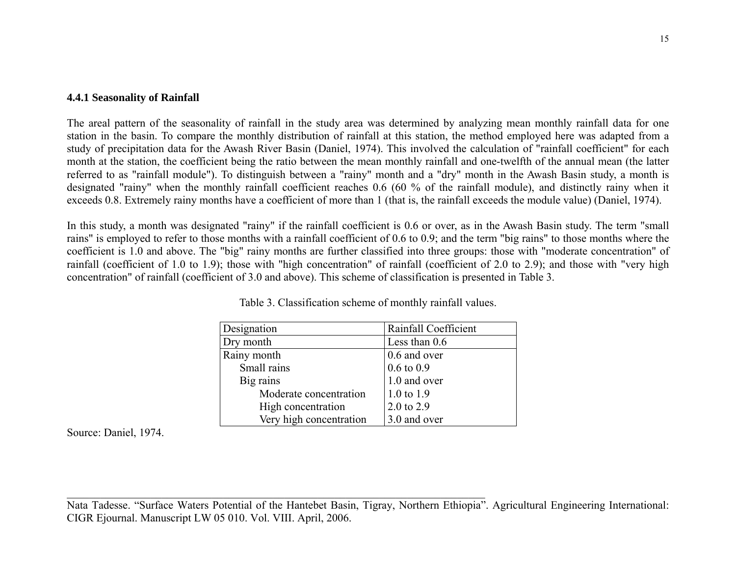#### **4.4.1 Seasonality of Rainfall**

The areal pattern of the seasonality of rainfall in the study area was determined by analyzing mean monthly rainfall data for one station in the basin. To compare the monthly distribution of rainfall at this station, the method employed here was adapted from a study of precipitation data for the Awash River Basin (Daniel, 1974). This involved the calculation of "rainfall coefficient" for each month at the station, the coefficient being the ratio between the mean monthly rainfall and one-twelfth of the annual mean (the latter referred to as "rainfall module"). To distinguish between a "rainy" month and a "dry" month in the Awash Basin study, a month is designated "rainy" when the monthly rainfall coefficient reaches 0.6 (60 % of the rainfall module), and distinctly rainy when it exceeds 0.8. Extremely rainy months have a coefficient of more than 1 (that is, the rainfall exceeds the module value) (Daniel, 1974).

In this study, a month was designated "rainy" if the rainfall coefficient is 0.6 or over, as in the Awash Basin study. The term "small rains" is employed to refer to those months with a rainfall coefficient of 0.6 to 0.9; and the term "big rains" to those months where the coefficient is 1.0 and above. The "big" rainy months are further classified into three groups: those with "moderate concentration" of rainfall (coefficient of 1.0 to 1.9); those with "high concentration" of rainfall (coefficient of 2.0 to 2.9); and those with "very high concentration" of rainfall (coefficient of 3.0 and above). This scheme of classification is presented in Table 3.

| Designation             | Rainfall Coefficient  |
|-------------------------|-----------------------|
| Dry month               | Less than 0.6         |
| Rainy month             | 0.6 and over          |
| Small rains             | $0.6 \text{ to } 0.9$ |
| Big rains               | 1.0 and over          |
| Moderate concentration  | 1.0 to $1.9$          |
| High concentration      | 2.0 to 2.9            |
| Very high concentration | 3.0 and over          |

Table 3. Classification scheme of monthly rainfall values.

Source: Daniel, 1974.

Nata Tadesse. "Surface Waters Potential of the Hantebet Basin, Tigray, Northern Ethiopia". Agricultural Engineering International: CIGR Ejournal. Manuscript LW 05 010. Vol. VIII. April, 2006.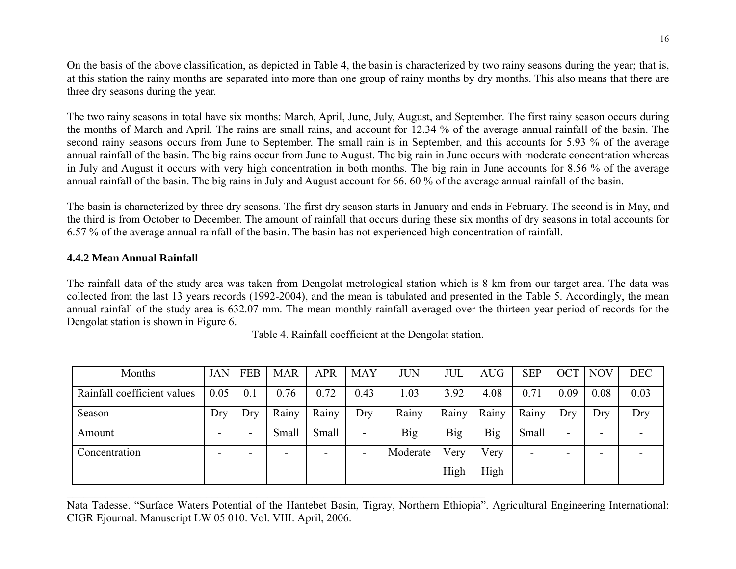On the basis of the above classification, as depicted in Table 4, the basin is characterized by two rainy seasons during the year; that is, at this station the rainy months are separated into more than one group of rainy months by dry months. This also means that there are three dry seasons during the year.

The two rainy seasons in total have six months: March, April, June, July, August, and September. The first rainy season occurs during the months of March and April. The rains are small rains, and account for 12.34 % of the average annual rainfall of the basin. The second rainy seasons occurs from June to September. The small rain is in September, and this accounts for 5.93 % of the average annual rainfall of the basin. The big rains occur from June to August. The big rain in June occurs with moderate concentration whereas in July and August it occurs with very high concentration in both months. The big rain in June accounts for 8.56 % of the average annual rainfall of the basin. The big rains in July and August account for 66. 60 % of the average annual rainfall of the basin.

The basin is characterized by three dry seasons. The first dry season starts in January and ends in February. The second is in May, and the third is from October to December. The amount of rainfall that occurs during these six months of dry seasons in total accounts for 6.57 % of the average annual rainfall of the basin. The basin has not experienced high concentration of rainfall.

### **4.4.2 Mean Annual Rainfall**

The rainfall data of the study area was taken from Dengolat metrological station which is 8 km from our target area. The data was collected from the last 13 years records (1992-2004), and the mean is tabulated and presented in the Table 5. Accordingly, the mean annual rainfall of the study area is 632.07 mm. The mean monthly rainfall averaged over the thirteen-year period of records for the Dengolat station is shown in Figure 6.

| Months                      | <b>JAN</b> | <b>FEB</b>               | <b>MAR</b> | <b>APR</b> | <b>MAY</b> | <b>JUN</b> | <b>JUL</b> | AUG        | <b>SEP</b> | <b>OCT</b> | <b>NOV</b> | <b>DEC</b> |
|-----------------------------|------------|--------------------------|------------|------------|------------|------------|------------|------------|------------|------------|------------|------------|
| Rainfall coefficient values | 0.05       | 0.1                      | 0.76       | 0.72       | 0.43       | 1.03       | 3.92       | 4.08       | 0.71       | 0.09       | 0.08       | 0.03       |
| Season                      | Dry        | Dry                      | Rainy      | Rainy      | Dry        | Rainy      | Rainy      | Rainy      | Rainy      | Dry        | Dry        | Dry        |
| Amount                      |            | $\overline{\phantom{0}}$ | Small      | Small      | -          | Big        | <b>Big</b> | <b>Big</b> | Small      | -          |            |            |
| Concentration               |            |                          | -          |            |            | Moderate   | Very       | Very       | -          | ۰          |            |            |
|                             |            |                          |            |            |            |            | High       | High       |            |            |            |            |

Table 4. Rainfall coefficient at the Dengolat station.

\_\_\_\_\_\_\_\_\_\_\_\_\_\_\_\_\_\_\_\_\_\_\_\_\_\_\_\_\_\_\_\_\_\_\_\_\_\_\_\_\_\_\_\_\_\_\_\_\_\_\_\_\_\_\_\_\_\_\_\_\_\_\_\_\_\_\_\_\_\_\_\_\_\_\_ Nata Tadesse. "Surface Waters Potential of the Hantebet Basin, Tigray, Northern Ethiopia". Agricultural Engineering International: CIGR Ejournal. Manuscript LW 05 010. Vol. VIII. April, 2006.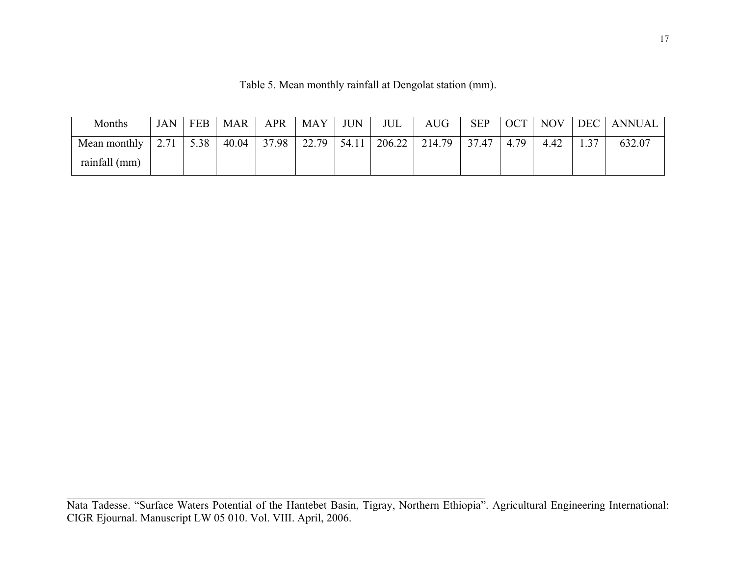| Months        | <b>JAN</b> | <b>FEB</b> | <b>MAR</b> | APR   | <b>MAY</b> | <b>JUN</b> | JUL    | <b>AUG</b> | SEP   | <b>OCT</b> | <b>NOV</b> | <b>DEC</b> | <b>ANNUAL</b> |
|---------------|------------|------------|------------|-------|------------|------------|--------|------------|-------|------------|------------|------------|---------------|
| Mean monthly  | 271        | 5.38       | 40.04      | 37.98 | 22.79      | 54.11      | 206.22 | 214.79     | 37.47 | 4.79       | 4.42       | 1.37       | 632.07        |
| rainfall (mm) |            |            |            |       |            |            |        |            |       |            |            |            |               |

Table 5. Mean monthly rainfall at Dengolat station (mm).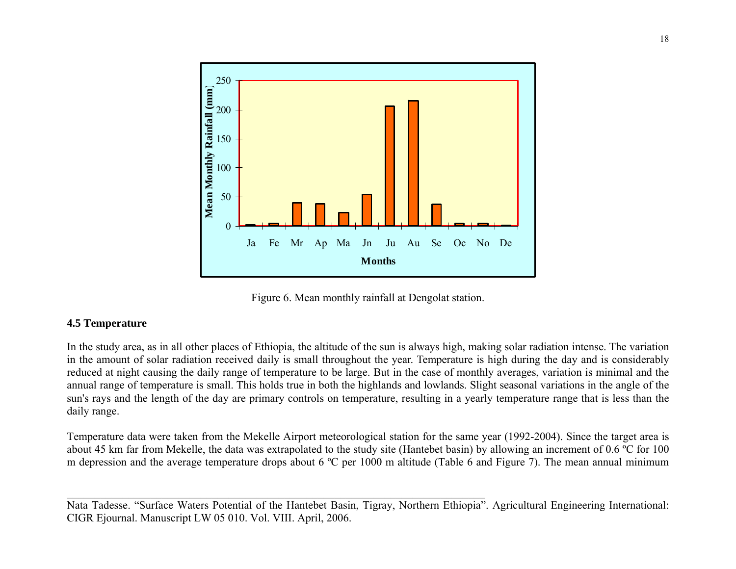

Figure 6. Mean monthly rainfall at Dengolat station.

### **4.5 Temperature**

In the study area, as in all other places of Ethiopia, the altitude of the sun is always high, making solar radiation intense. The variation in the amount of solar radiation received daily is small throughout the year. Temperature is high during the day and is considerably reduced at night causing the daily range of temperature to be large. But in the case of monthly averages, variation is minimal and the annual range of temperature is small. This holds true in both the highlands and lowlands. Slight seasonal variations in the angle of the sun's rays and the length of the day are primary controls on temperature, resulting in a yearly temperature range that is less than the daily range.

Temperature data were taken from the Mekelle Airport meteorological station for the same year (1992-2004). Since the target area is about 45 km far from Mekelle, the data was extrapolated to the study site (Hantebet basin) by allowing an increment of 0.6 ºC for 100 m depression and the average temperature drops about 6 ºC per 1000 m altitude (Table 6 and Figure 7). The mean annual minimum

Nata Tadesse. "Surface Waters Potential of the Hantebet Basin, Tigray, Northern Ethiopia". Agricultural Engineering International: CIGR Ejournal. Manuscript LW 05 010. Vol. VIII. April, 2006.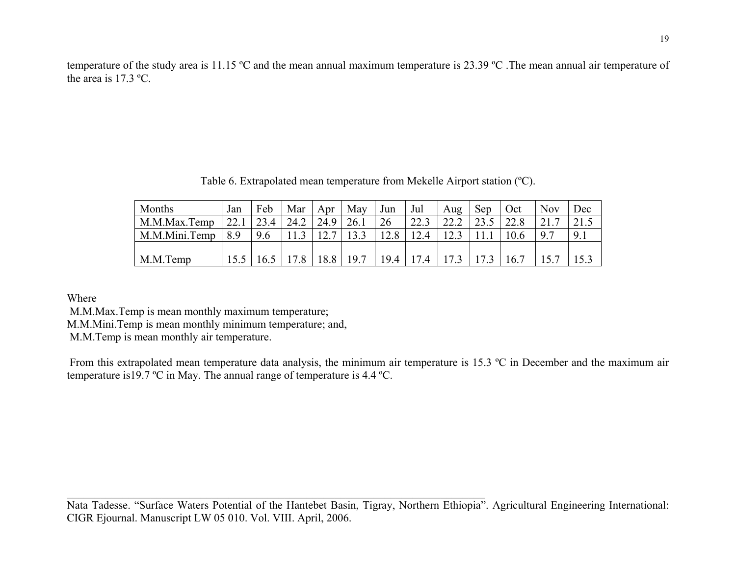temperature of the study area is 11.15 ºC and the mean annual maximum temperature is 23.39 ºC .The mean annual air temperature of the area is 17.3 ºC.

| Table 6. Extrapolated mean temperature from Mekelle Airport station (°C). |  |
|---------------------------------------------------------------------------|--|
|---------------------------------------------------------------------------|--|

| Months        | Jan | Feb  | Mar  | Apr  | May  | Jun  | Jul  | Aug  | Sep | Oct  | <b>Nov</b> | Dec         |
|---------------|-----|------|------|------|------|------|------|------|-----|------|------------|-------------|
| M.M.Max.Temp  | 221 | 23.4 | 24.2 | 24.9 | 26.1 | 26   | 22.2 | າາ າ |     | 22g  | 21         |             |
| M.M.Mini.Temp | 8.9 | 9.6  |      |      |      | 12Q  | 12.4 |      |     |      | 9.7        | $\mathbf Q$ |
|               |     |      |      |      |      |      |      |      |     |      |            |             |
| M.M.Temp      |     |      |      | 18.8 | 19.7 | 19.4 | 17.4 | 17.  | 17  | 16.7 |            |             |

Where

 M.M.Max.Temp is mean monthly maximum temperature; M.M.Mini.Temp is mean monthly minimum temperature; and, M.M.Temp is mean monthly air temperature.

From this extrapolated mean temperature data analysis, the minimum air temperature is 15.3 °C in December and the maximum air temperature is19.7 ºC in May. The annual range of temperature is 4.4 ºC.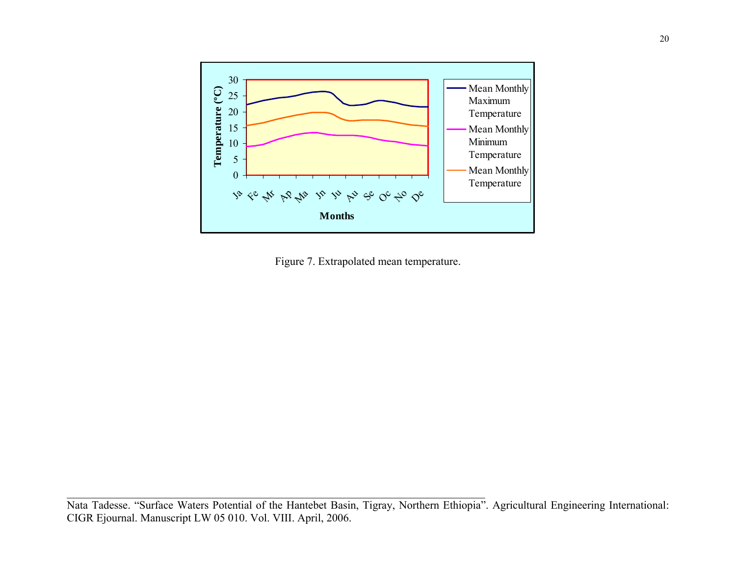

Figure 7. Extrapolated mean temperature.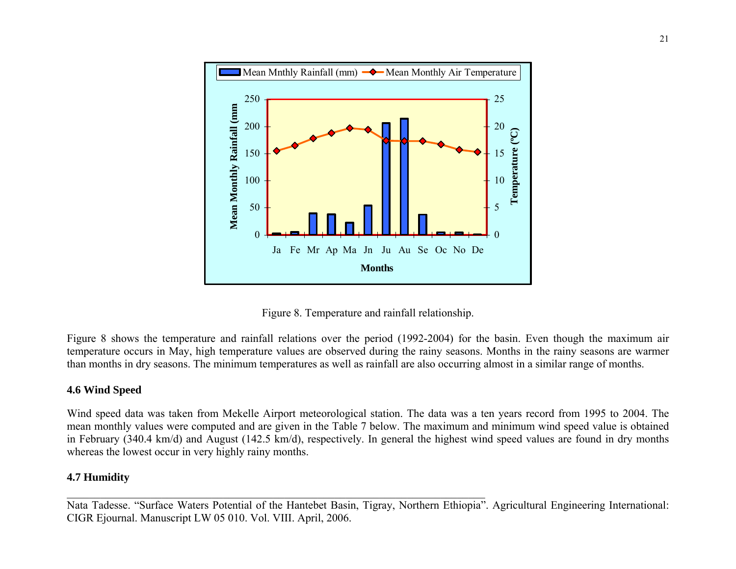

Figure 8. Temperature and rainfall relationship.

Figure 8 shows the temperature and rainfall relations over the period (1992-2004) for the basin. Even though the maximum air temperature occurs in May, high temperature values are observed during the rainy seasons. Months in the rainy seasons are warmer than months in dry seasons. The minimum temperatures as well as rainfall are also occurring almost in a similar range of months.

# **4.6 Wind Speed**

Wind speed data was taken from Mekelle Airport meteorological station. The data was a ten years record from 1995 to 2004. The mean monthly values were computed and are given in the Table 7 below. The maximum and minimum wind speed value is obtained in February (340.4 km/d) and August (142.5 km/d), respectively. In general the highest wind speed values are found in dry months whereas the lowest occur in very highly rainy months.

# **4.7 Humidity**

Nata Tadesse. "Surface Waters Potential of the Hantebet Basin, Tigray, Northern Ethiopia". Agricultural Engineering International: CIGR Ejournal. Manuscript LW 05 010. Vol. VIII. April, 2006.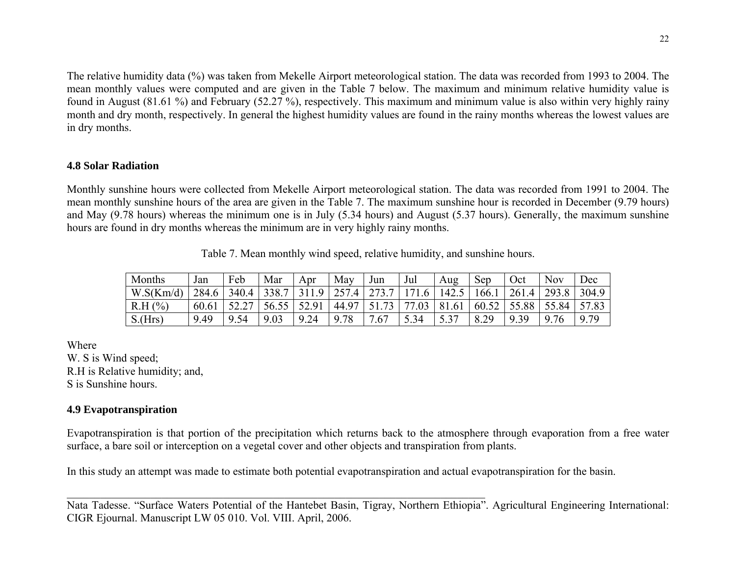The relative humidity data (%) was taken from Mekelle Airport meteorological station. The data was recorded from 1993 to 2004. The mean monthly values were computed and are given in the Table 7 below. The maximum and minimum relative humidity value is found in August (81.61 %) and February (52.27 %), respectively. This maximum and minimum value is also within very highly rainy month and dry month, respectively. In general the highest humidity values are found in the rainy months whereas the lowest values are in dry months.

### **4.8 Solar Radiation**

Monthly sunshine hours were collected from Mekelle Airport meteorological station. The data was recorded from 1991 to 2004. The mean monthly sunshine hours of the area are given in the Table 7. The maximum sunshine hour is recorded in December (9.79 hours) and May (9.78 hours) whereas the minimum one is in July (5.34 hours) and August (5.37 hours). Generally, the maximum sunshine hours are found in dry months whereas the minimum are in very highly rainy months.

| Months    | Jan   | Feb   | Mar   | Apr   | May                   | Jun   | Jul   | Aug   | Sep             | Oct   | Nov   | Dec        |
|-----------|-------|-------|-------|-------|-----------------------|-------|-------|-------|-----------------|-------|-------|------------|
| W.S(Km/d) | 284.6 | 340.4 | 338.7 | 311.9 | $\vert$ 257.4 $\vert$ | 273.7 | 171.6 | 142.5 | 166.1           | 261.4 | 293.8 | 304.9      |
| R.H(%)    | 60.61 |       | 56.55 | 52.91 | 44.97                 | 51.73 | 77.03 | 81.61 | $60.52$   55.88 |       | 55.84 | 57.83      |
| S.(Hrs)   | 9.49  | 9.54  | 9.03  | 924   | .78<br>9              | 7.67  | 5.34  |       | 8.29            | 39    |       | <b>Q79</b> |

Table 7. Mean monthly wind speed, relative humidity, and sunshine hours.

Where

W. S is Wind speed; R.H is Relative humidity; and, S is Sunshine hours.

# **4.9 Evapotranspiration**

Evapotranspiration is that portion of the precipitation which returns back to the atmosphere through evaporation from a free water surface, a bare soil or interception on a vegetal cover and other objects and transpiration from plants.

In this study an attempt was made to estimate both potential evapotranspiration and actual evapotranspiration for the basin.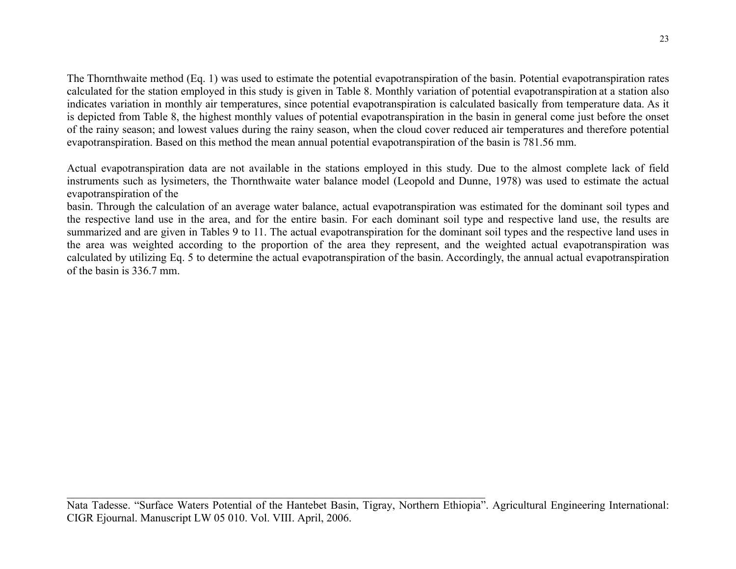The Thornthwaite method (Eq. 1) was used to estimate the potential evapotranspiration of the basin. Potential evapotranspiration rates calculated for the station employed in this study is given in Table 8. Monthly variation of potential evapotranspiration at a station also indicates variation in monthly air temperatures, since potential evapotranspiration is calculated basically from temperature data. As it is depicted from Table 8, the highest monthly values of potential evapotranspiration in the basin in general come just before the onset of the rainy season; and lowest values during the rainy season, when the cloud cover reduced air temperatures and therefore potential evapotranspiration. Based on this method the mean annual potential evapotranspiration of the basin is 781.56 mm.

Actual evapotranspiration data are not available in the stations employed in this study. Due to the almost complete lack of field instruments such as lysimeters, the Thornthwaite water balance model (Leopold and Dunne, 1978) was used to estimate the actual evapotranspiration of the

basin. Through the calculation of an average water balance, actual evapotranspiration was estimated for the dominant soil types and the respective land use in the area, and for the entire basin. For each dominant soil type and respective land use, the results are summarized and are given in Tables 9 to 11. The actual evapotranspiration for the dominant soil types and the respective land uses in the area was weighted according to the proportion of the area they represent, and the weighted actual evapotranspiration was calculated by utilizing Eq. 5 to determine the actual evapotranspiration of the basin. Accordingly, the annual actual evapotranspiration of the basin is 336.7 mm.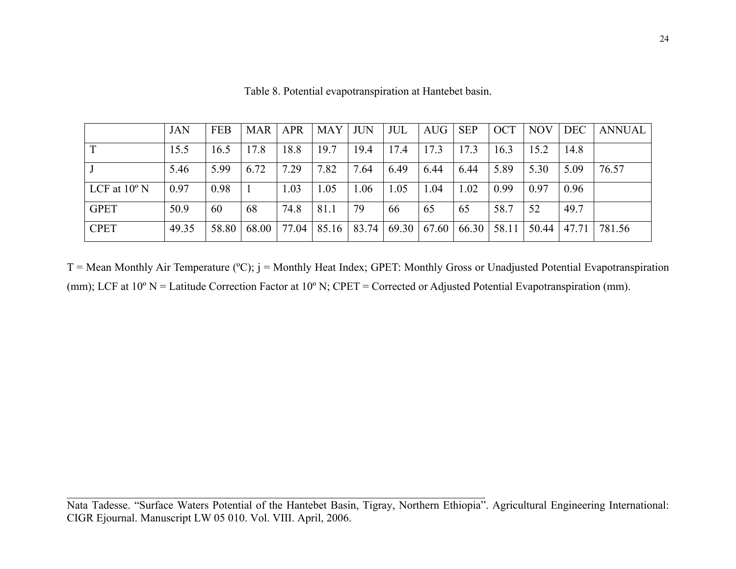|                       | <b>JAN</b> | <b>FEB</b> | <b>MAR</b> | <b>APR</b> | <b>MAY</b> | <b>JUN</b> | <b>JUL</b> | <b>AUG</b> | <b>SEP</b> | <b>OCT</b> | <b>NOV</b> | <b>DEC</b> | <b>ANNUAL</b> |
|-----------------------|------------|------------|------------|------------|------------|------------|------------|------------|------------|------------|------------|------------|---------------|
| T                     | 15.5       | 16.5       | 17.8       | 18.8       | 19.7       | 19.4       | 17.4       | 17.3       |            | 16.3       | 15.2       | 14.8       |               |
|                       | 5.46       | 5.99       | 6.72       | 7.29       | 7.82       | 7.64       | 6.49       | 6.44       | 6.44       | 5.89       | 5.30       | 5.09       | 76.57         |
| LCF at $10^{\circ}$ N | 0.97       | 0.98       |            | 1.03       | 1.05       | 1.06       | 1.05       | l.04       | 1.02       | 0.99       | 0.97       | 0.96       |               |
| <b>GPET</b>           | 50.9       | 60         | 68         | 74.8       | 81.1       | 79         | 66         | 65         | 65         | 58.7       | 52         | 49.7       |               |
| <b>CPET</b>           | 49.35      | 58.80      | 68.00      | 77.04      | 85.16      | 83.74      | 69.30      | 67.60      | 66.30      | 58.11      | 50.44      | 47.71      | 781.56        |

Table 8. Potential evapotranspiration at Hantebet basin.

T = Mean Monthly Air Temperature (ºC); j = Monthly Heat Index; GPET: Monthly Gross or Unadjusted Potential Evapotranspiration (mm); LCF at 10° N = Latitude Correction Factor at 10° N; CPET = Corrected or Adjusted Potential Evapotranspiration (mm).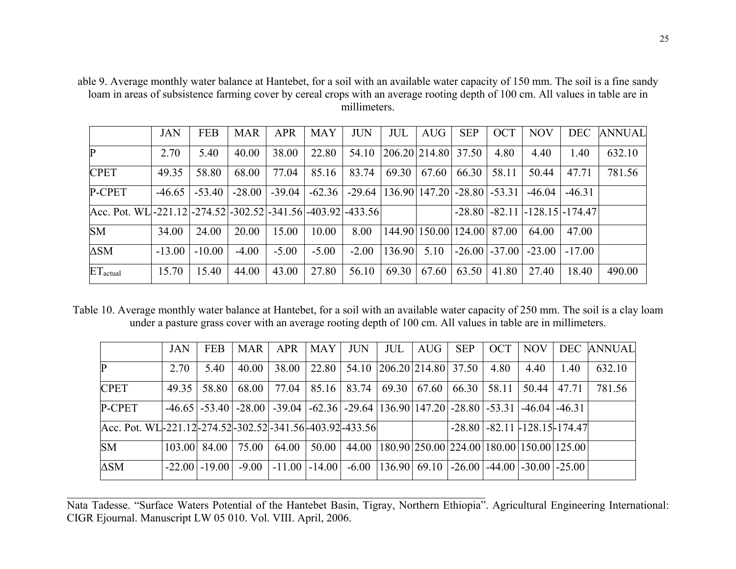able 9. Average monthly water balance at Hantebet, for a soil with an available water capacity of 150 mm. The soil is a fine sandy loam in areas of subsistence farming cover by cereal crops with an average rooting depth of 100 cm. All values in table are in millimeters.

|                                                        | <b>JAN</b> | <b>FEB</b> | <b>MAR</b> | <b>APR</b> | <b>MAY</b> | <b>JUN</b> | <b>JUL</b>    | <b>AUG</b>           | <b>SEP</b> | <b>OCT</b>                      | <b>NOV</b>                            | <b>DEC</b> | <b>ANNUAL</b> |
|--------------------------------------------------------|------------|------------|------------|------------|------------|------------|---------------|----------------------|------------|---------------------------------|---------------------------------------|------------|---------------|
| $\mathbf P$                                            | 2.70       | 5.40       | 40.00      | 38.00      | 22.80      | 54.10      | 206.20 214.80 |                      | 37.50      | 4.80                            | 4.40                                  | 1.40       | 632.10        |
| <b>CPET</b>                                            | 49.35      | 58.80      | 68.00      | 77.04      | 85.16      | 83.74      | 69.30         | 67.60                | 66.30      | 58.11                           | 50.44                                 | 47.71      | 781.56        |
| P-CPET                                                 | $-46.65$   | $-53.40$   | $-28.00$   | $-39.04$   | $-62.36$   | $-29.64$   |               |                      |            | $136.90 147.20  -28.80  -53.31$ | $-46.04$                              | $-46.31$   |               |
| Acc. Pot. WL-221.12-274.52-302.52-341.56-403.92-433.56 |            |            |            |            |            |            |               |                      |            |                                 | $-28.80$ $-82.11$ $-128.15$ $-174.47$ |            |               |
| <b>SM</b>                                              | 34.00      | 24.00      | 20.00      | 15.00      | 10.00      | 8.00       |               | 144.90 150.00 124.00 |            | 87.00                           | 64.00                                 | 47.00      |               |
| $\Delta$ SM                                            | $-13.00$   | $-10.00$   | $-4.00$    | $-5.00$    | $-5.00$    | $-2.00$    | 136.90        | 5.10                 |            | $-26.00$ $-37.00$               | $-23.00$                              | $-17.00$   |               |
| $ET_{actual}$                                          | 15.70      | 15.40      | 44.00      | 43.00      | 27.80      | 56.10      | 69.30         | 67.60                | 63.50      | 41.80                           | 27.40                                 | 18.40      | 490.00        |

Table 10. Average monthly water balance at Hantebet, for a soil with an available water capacity of 250 mm. The soil is a clay loam under a pasture grass cover with an average rooting depth of 100 cm. All values in table are in millimeters.

|                                                        | <b>JAN</b>   | <b>FEB</b>        | <b>MAR</b> | <b>APR</b>                                                                                                                        | MAY      | <b>JUN</b> | JUL | <b>AUG</b>                | <b>SEP</b>                                | <b>OCT</b> | <b>NOV</b>                            |       | <b>DEC ANNUAL</b> |
|--------------------------------------------------------|--------------|-------------------|------------|-----------------------------------------------------------------------------------------------------------------------------------|----------|------------|-----|---------------------------|-------------------------------------------|------------|---------------------------------------|-------|-------------------|
| P                                                      | 2.70         | 5.40              | 40.00      | 38.00                                                                                                                             | 22.80    |            |     | 54.10 206.20 214.80 37.50 |                                           | 4.80       | 4.40                                  | 1.40  | 632.10            |
| <b>CPET</b>                                            | 49.35        | 58.80             | 68.00      | 77.04                                                                                                                             | 85.16    | 83.74      |     | 69.30 67.60               | 66.30                                     | 58.11      | 50.44                                 | 47.71 | 781.56            |
| P-CPET                                                 |              |                   |            | $-46.65$   $-53.40$   $-28.00$   $-39.04$   $-62.36$   $-29.64$   $136.90$   $147.20$   $-28.80$   $-53.31$   $-46.04$   $-46.31$ |          |            |     |                           |                                           |            |                                       |       |                   |
| Acc. Pot. WL-221.12-274.52-302.52-341.56-403.92-433.56 |              |                   |            |                                                                                                                                   |          |            |     |                           |                                           |            | $-28.80$ $-82.11$ $-128.15$ $-174.47$ |       |                   |
| <b>SM</b>                                              | 103.00 84.00 |                   | 75.00      | 64.00                                                                                                                             | 50.00    | 44.00      |     |                           | 180.90 250.00 224.00 180.00 150.00 125.00 |            |                                       |       |                   |
| $\Delta \text{SM}$                                     |              | $-22.00$ $-19.00$ | $-9.00$    | $-11.00$                                                                                                                          | $-14.00$ | $-6.00$    |     | $136.90 $ 69.10           | $-26.00$ $-44.00$ $-30.00$ $-25.00$       |            |                                       |       |                   |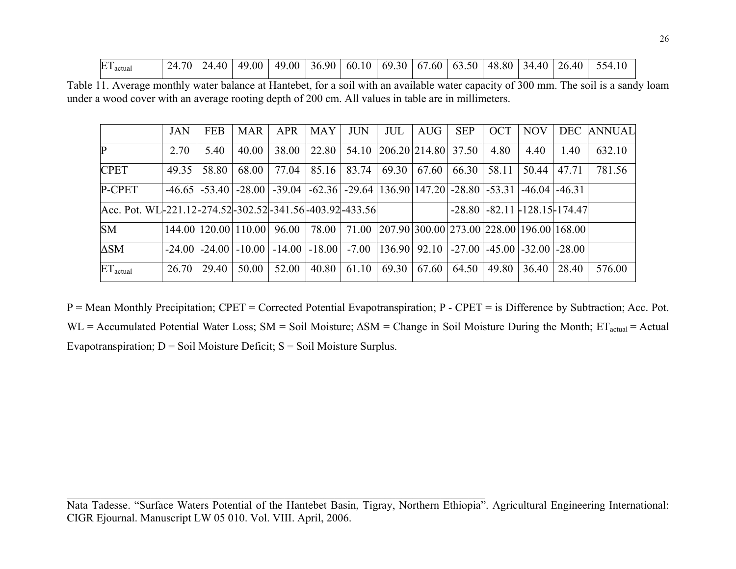| ᠇᠇<br>' actual<br>⊷ | 24.70 | 24.40 | 49.00 | 49.00 | 36.90 | 60.10 | $69.30 \mid 67$ | $\sim$ $-$<br>.60 | .50 <sup>1</sup><br>63 | .80<br>48. | 34.40 | 26.40 | $ -$<br>554 |  |
|---------------------|-------|-------|-------|-------|-------|-------|-----------------|-------------------|------------------------|------------|-------|-------|-------------|--|
|---------------------|-------|-------|-------|-------|-------|-------|-----------------|-------------------|------------------------|------------|-------|-------|-------------|--|

Table 11. Average monthly water balance at Hantebet, for a soil with an available water capacity of 300 mm. The soil is a sandy loam under a wood cover with an average rooting depth of 200 cm. All values in table are in millimeters.

|                                                        | <b>JAN</b> | <b>FEB</b> | <b>MAR</b>                 | <b>APR</b>                                                                                                                    | MAY      | <b>JUN</b> | JUL   | AUG                                           | <b>SEP</b> | <b>OCT</b> | <b>NOV</b>                                |       | <b>DEC ANNUAL</b> |
|--------------------------------------------------------|------------|------------|----------------------------|-------------------------------------------------------------------------------------------------------------------------------|----------|------------|-------|-----------------------------------------------|------------|------------|-------------------------------------------|-------|-------------------|
| P                                                      | 2.70       | 5.40       | 40.00                      | 38.00                                                                                                                         | 22.80    | 54.10      |       | 206.20 214.80 37.50                           |            | 4.80       | 4.40                                      | 1.40  | 632.10            |
| <b>CPET</b>                                            | 49.35      | 58.80      | 68.00                      | 77.04                                                                                                                         | 85.16    | 83.74      | 69.30 | 67.60                                         | 66.30      | 58.11      | 50.44                                     | 47.71 | 781.56            |
| P-CPET                                                 |            |            | $-46.65$ $-53.40$ $-28.00$ | $\mid$ -39.04 $\mid$ -62.36 $\mid$ -29.64 $\mid$ 136.90 $\mid$ 147.20 $\mid$ -28.80 $\mid$ -53.31 $\mid$ -46.04 $\mid$ -46.31 |          |            |       |                                               |            |            |                                           |       |                   |
| Acc. Pot. WL-221.12-274.52-302.52-341.56-403.92-433.56 |            |            |                            |                                                                                                                               |          |            |       |                                               |            |            | $-28.80$ $-82.11$ $-128.15$ $-174.47$     |       |                   |
| <b>SM</b>                                              |            |            | 144.00 120.00 110.00       | 96.00                                                                                                                         | 78.00    | 71.00      |       | $[207.90 300.00 273.00 228.00 196.00 168.00]$ |            |            |                                           |       |                   |
| $\Delta$ SM                                            | $-24.00$   |            | $-24.00$ $-10.00$          | $-14.00$                                                                                                                      | $-18.00$ | $-7.00$    |       | 136.90 92.10                                  |            |            | $-27.00$   $-45.00$   $-32.00$   $-28.00$ |       |                   |
| $ET_{actual}$                                          | 26.70      | 29.40      | 50.00                      | 52.00                                                                                                                         | 40.80    | 61.10      | 69.30 | 67.60                                         | 64.50      | 49.80      | 36.40                                     | 28.40 | 576.00            |

P = Mean Monthly Precipitation; CPET = Corrected Potential Evapotranspiration; P - CPET = is Difference by Subtraction; Acc. Pot.  $WL =$  Accumulated Potential Water Loss; SM = Soil Moisture;  $\Delta SM =$  Change in Soil Moisture During the Month;  $ET_{actual} =$  Actual Evapotranspiration;  $D =$  Soil Moisture Deficit;  $S =$  Soil Moisture Surplus.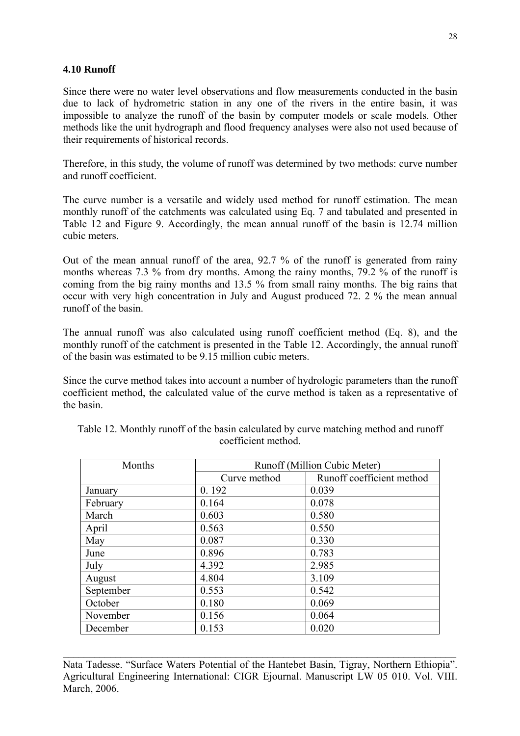# **4.10 Runoff**

Since there were no water level observations and flow measurements conducted in the basin due to lack of hydrometric station in any one of the rivers in the entire basin, it was impossible to analyze the runoff of the basin by computer models or scale models. Other methods like the unit hydrograph and flood frequency analyses were also not used because of their requirements of historical records.

Therefore, in this study, the volume of runoff was determined by two methods: curve number and runoff coefficient.

The curve number is a versatile and widely used method for runoff estimation. The mean monthly runoff of the catchments was calculated using Eq. 7 and tabulated and presented in Table 12 and Figure 9. Accordingly, the mean annual runoff of the basin is 12.74 million cubic meters.

Out of the mean annual runoff of the area, 92.7 % of the runoff is generated from rainy months whereas 7.3 % from dry months. Among the rainy months, 79.2 % of the runoff is coming from the big rainy months and 13.5 % from small rainy months. The big rains that occur with very high concentration in July and August produced 72. 2 % the mean annual runoff of the basin.

The annual runoff was also calculated using runoff coefficient method (Eq. 8), and the monthly runoff of the catchment is presented in the Table 12. Accordingly, the annual runoff of the basin was estimated to be 9.15 million cubic meters.

Since the curve method takes into account a number of hydrologic parameters than the runoff coefficient method, the calculated value of the curve method is taken as a representative of the basin.

| Months    | Runoff (Million Cubic Meter) |                           |  |  |  |  |
|-----------|------------------------------|---------------------------|--|--|--|--|
|           | Curve method                 | Runoff coefficient method |  |  |  |  |
| January   | 0.192                        | 0.039                     |  |  |  |  |
| February  | 0.164                        | 0.078                     |  |  |  |  |
| March     | 0.603                        | 0.580                     |  |  |  |  |
| April     | 0.563                        | 0.550                     |  |  |  |  |
| May       | 0.087                        | 0.330                     |  |  |  |  |
| June      | 0.896                        | 0.783                     |  |  |  |  |
| July      | 4.392                        | 2.985                     |  |  |  |  |
| August    | 4.804                        | 3.109                     |  |  |  |  |
| September | 0.553                        | 0.542                     |  |  |  |  |
| October   | 0.180                        | 0.069                     |  |  |  |  |
| November  | 0.156                        | 0.064                     |  |  |  |  |
| December  | 0.153                        | 0.020                     |  |  |  |  |

Table 12. Monthly runoff of the basin calculated by curve matching method and runoff coefficient method.

Nata Tadesse. "Surface Waters Potential of the Hantebet Basin, Tigray, Northern Ethiopia". Agricultural Engineering International: CIGR Ejournal. Manuscript LW 05 010. Vol. VIII. March, 2006.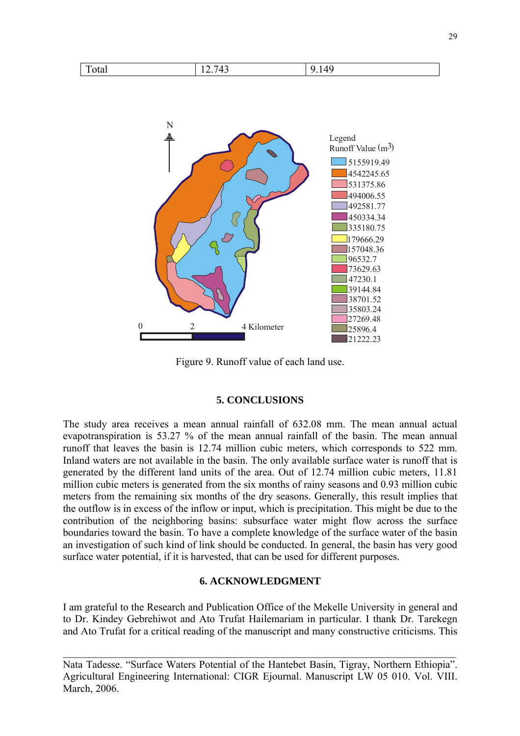

Figure 9. Runoff value of each land use.

### **5. CONCLUSIONS**

The study area receives a mean annual rainfall of 632.08 mm. The mean annual actual evapotranspiration is 53.27 % of the mean annual rainfall of the basin. The mean annual runoff that leaves the basin is 12.74 million cubic meters, which corresponds to 522 mm. Inland waters are not available in the basin. The only available surface water is runoff that is generated by the different land units of the area. Out of 12.74 million cubic meters, 11.81 million cubic meters is generated from the six months of rainy seasons and 0.93 million cubic meters from the remaining six months of the dry seasons. Generally, this result implies that the outflow is in excess of the inflow or input, which is precipitation. This might be due to the contribution of the neighboring basins: subsurface water might flow across the surface boundaries toward the basin. To have a complete knowledge of the surface water of the basin an investigation of such kind of link should be conducted. In general, the basin has very good surface water potential, if it is harvested, that can be used for different purposes.

### **6. ACKNOWLEDGMENT**

I am grateful to the Research and Publication Office of the Mekelle University in general and to Dr. Kindey Gebrehiwot and Ato Trufat Hailemariam in particular. I thank Dr. Tarekegn and Ato Trufat for a critical reading of the manuscript and many constructive criticisms. This

Nata Tadesse. "Surface Waters Potential of the Hantebet Basin, Tigray, Northern Ethiopia". Agricultural Engineering International: CIGR Ejournal. Manuscript LW 05 010. Vol. VIII. March, 2006.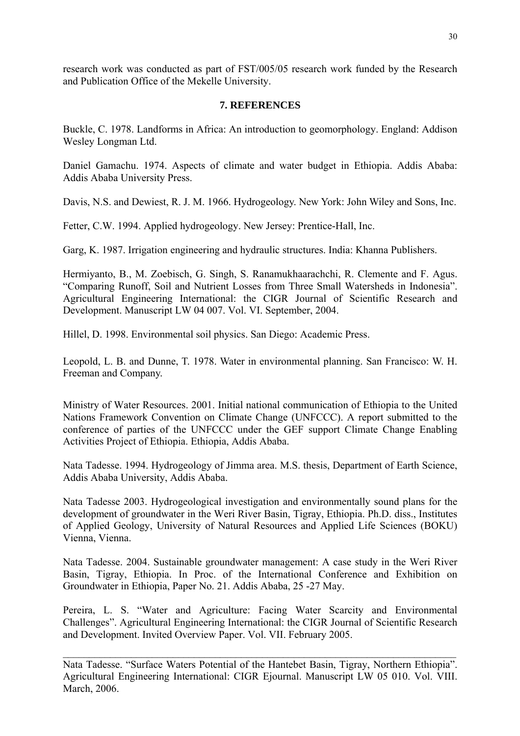research work was conducted as part of FST/005/05 research work funded by the Research and Publication Office of the Mekelle University.

#### **7. REFERENCES**

Buckle, C. 1978. Landforms in Africa: An introduction to geomorphology. England: Addison Wesley Longman Ltd.

Daniel Gamachu. 1974. Aspects of climate and water budget in Ethiopia. Addis Ababa: Addis Ababa University Press.

Davis, N.S. and Dewiest, R. J. M. 1966. Hydrogeology. New York: John Wiley and Sons, Inc.

Fetter, C.W. 1994. Applied hydrogeology. New Jersey: Prentice-Hall, Inc.

Garg, K. 1987. Irrigation engineering and hydraulic structures. India: Khanna Publishers.

Hermiyanto, B., M. Zoebisch, G. Singh, S. Ranamukhaarachchi, R. Clemente and F. Agus. "Comparing Runoff, Soil and Nutrient Losses from Three Small Watersheds in Indonesia". Agricultural Engineering International: the CIGR Journal of Scientific Research and Development. Manuscript LW 04 007. Vol. VI. September, 2004.

Hillel, D. 1998. Environmental soil physics. San Diego: Academic Press.

Leopold, L. B. and Dunne, T. 1978. Water in environmental planning. San Francisco: W. H. Freeman and Company.

Ministry of Water Resources. 2001. Initial national communication of Ethiopia to the United Nations Framework Convention on Climate Change (UNFCCC). A report submitted to the conference of parties of the UNFCCC under the GEF support Climate Change Enabling Activities Project of Ethiopia. Ethiopia, Addis Ababa.

Nata Tadesse. 1994. Hydrogeology of Jimma area. M.S. thesis, Department of Earth Science, Addis Ababa University, Addis Ababa.

Nata Tadesse 2003. Hydrogeological investigation and environmentally sound plans for the development of groundwater in the Weri River Basin, Tigray, Ethiopia. Ph.D. diss., Institutes of Applied Geology, University of Natural Resources and Applied Life Sciences (BOKU) Vienna, Vienna.

Nata Tadesse. 2004. Sustainable groundwater management: A case study in the Weri River Basin, Tigray, Ethiopia. In Proc. of the International Conference and Exhibition on Groundwater in Ethiopia, Paper No. 21. Addis Ababa, 25 -27 May.

Pereira, L. S. "Water and Agriculture: Facing Water Scarcity and Environmental Challenges". Agricultural Engineering International: the CIGR Journal of Scientific Research and Development. Invited Overview Paper. Vol. VII. February 2005.

Nata Tadesse. "Surface Waters Potential of the Hantebet Basin, Tigray, Northern Ethiopia". Agricultural Engineering International: CIGR Ejournal. Manuscript LW 05 010. Vol. VIII. March, 2006.